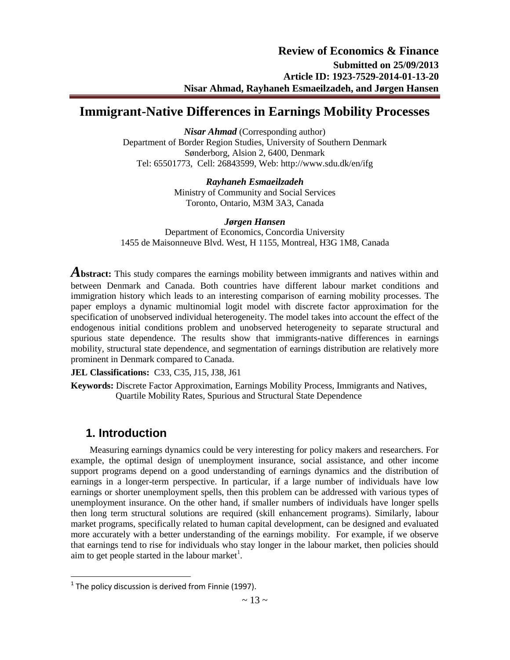# **Immigrant-Native Differences in Earnings Mobility Processes**

*Nisar Ahmad* (Corresponding author) Department of Border Region Studies, University of Southern Denmark Sønderborg, Alsion 2, 6400, Denmark Tel: 65501773, Cell: 26843599, Web: http://www.sdu.dk/en/ifg

> *Rayhaneh Esmaeilzadeh*  Ministry of Community and Social Services Toronto, Ontario, M3M 3A3, Canada

*Jørgen Hansen* Department of Economics, Concordia University 1455 de Maisonneuve Blvd. West, H 1155, Montreal, H3G 1M8, Canada

**Abstract:** This study compares the earnings mobility between immigrants and natives within and between Denmark and Canada. Both countries have different labour market conditions and immigration history which leads to an interesting comparison of earning mobility processes. The paper employs a dynamic multinomial logit model with discrete factor approximation for the specification of unobserved individual heterogeneity. The model takes into account the effect of the endogenous initial conditions problem and unobserved heterogeneity to separate structural and spurious state dependence. The results show that immigrants-native differences in earnings mobility, structural state dependence, and segmentation of earnings distribution are relatively more prominent in Denmark compared to Canada.

**JEL Classifications:** C33, C35, J15, J38, J61

**Keywords:** Discrete Factor Approximation, Earnings Mobility Process, Immigrants and Natives, Quartile Mobility Rates, Spurious and Structural State Dependence

# **1. Introduction**

 $\overline{a}$ 

Measuring earnings dynamics could be very interesting for policy makers and researchers. For example, the optimal design of unemployment insurance, social assistance, and other income support programs depend on a good understanding of earnings dynamics and the distribution of earnings in a longer-term perspective. In particular, if a large number of individuals have low earnings or shorter unemployment spells, then this problem can be addressed with various types of unemployment insurance. On the other hand, if smaller numbers of individuals have longer spells then long term structural solutions are required (skill enhancement programs). Similarly, labour market programs, specifically related to human capital development, can be designed and evaluated more accurately with a better understanding of the earnings mobility. For example, if we observe that earnings tend to rise for individuals who stay longer in the labour market, then policies should aim to get people started in the labour market<sup>1</sup>.

 $1$  The policy discussion is derived from Finnie (1997).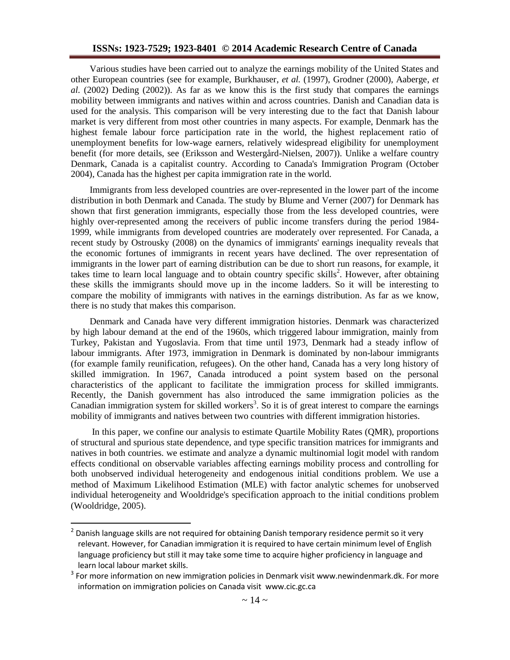### **ISSNs: 1923-7529; 1923-8401 © 2014 Academic Research Centre of Canada**

Various studies have been carried out to analyze the earnings mobility of the United States and other European countries (see for example, Burkhauser, *et al.* (1997), Grodner (2000), Aaberge, *et al.* (2002) Deding (2002)). As far as we know this is the first study that compares the earnings mobility between immigrants and natives within and across countries. Danish and Canadian data is used for the analysis. This comparison will be very interesting due to the fact that Danish labour market is very different from most other countries in many aspects. For example, Denmark has the highest female labour force participation rate in the world, the highest replacement ratio of unemployment benefits for low-wage earners, relatively widespread eligibility for unemployment benefit (for more details, see (Eriksson and Westergård-Nielsen, 2007)). Unlike a welfare country Denmark, Canada is a capitalist country. According to Canada's Immigration Program (October 2004), Canada has the highest per capita immigration rate in the world.

Immigrants from less developed countries are over-represented in the lower part of the income distribution in both Denmark and Canada. The study by Blume and Verner (2007) for Denmark has shown that first generation immigrants, especially those from the less developed countries, were highly over-represented among the receivers of public income transfers during the period 1984- 1999, while immigrants from developed countries are moderately over represented. For Canada, a recent study by Ostrousky (2008) on the dynamics of immigrants' earnings inequality reveals that the economic fortunes of immigrants in recent years have declined. The over representation of immigrants in the lower part of earning distribution can be due to short run reasons, for example, it takes time to learn local language and to obtain country specific skills<sup>2</sup>. However, after obtaining these skills the immigrants should move up in the income ladders. So it will be interesting to compare the mobility of immigrants with natives in the earnings distribution. As far as we know, there is no study that makes this comparison.

Denmark and Canada have very different immigration histories. Denmark was characterized by high labour demand at the end of the 1960s, which triggered labour immigration, mainly from Turkey, Pakistan and Yugoslavia. From that time until 1973, Denmark had a steady inflow of labour immigrants. After 1973, immigration in Denmark is dominated by non-labour immigrants (for example family reunification, refugees). On the other hand, Canada has a very long history of skilled immigration. In 1967, Canada introduced a point system based on the personal characteristics of the applicant to facilitate the immigration process for skilled immigrants. Recently, the Danish government has also introduced the same immigration policies as the Canadian immigration system for skilled workers<sup>3</sup>. So it is of great interest to compare the earnings mobility of immigrants and natives between two countries with different immigration histories.

In this paper, we confine our analysis to estimate Quartile Mobility Rates (QMR), proportions of structural and spurious state dependence, and type specific transition matrices for immigrants and natives in both countries. we estimate and analyze a dynamic multinomial logit model with random effects conditional on observable variables affecting earnings mobility process and controlling for both unobserved individual heterogeneity and endogenous initial conditions problem. We use a method of Maximum Likelihood Estimation (MLE) with factor analytic schemes for unobserved individual heterogeneity and Wooldridge's specification approach to the initial conditions problem (Wooldridge, 2005).

<sup>&</sup>lt;sup>2</sup> Danish language skills are not required for obtaining Danish temporary residence permit so it very relevant. However, for Canadian immigration it is required to have certain minimum level of English language proficiency but still it may take some time to acquire higher proficiency in language and learn local labour market skills.

 $3$  For more information on new immigration policies in Denmark visit [www.newindenmark.dk.](http://www.newindenmark.dk/) For more information on immigration policies on Canada visit www.cic.gc.ca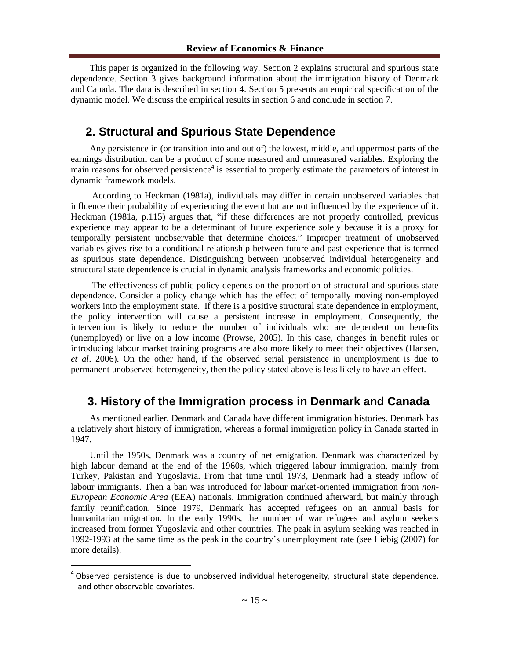This paper is organized in the following way. Section 2 explains structural and spurious state dependence. Section 3 gives background information about the immigration history of Denmark and Canada. The data is described in section 4. Section 5 presents an empirical specification of the dynamic model. We discuss the empirical results in section 6 and conclude in section 7.

# **2. Structural and Spurious State Dependence**

Any persistence in (or transition into and out of) the lowest, middle, and uppermost parts of the earnings distribution can be a product of some measured and unmeasured variables. Exploring the main reasons for observed persistence<sup>4</sup> is essential to properly estimate the parameters of interest in dynamic framework models.

According to Heckman (1981a), individuals may differ in certain unobserved variables that influence their probability of experiencing the event but are not influenced by the experience of it. Heckman (1981a, p.115) argues that, "if these differences are not properly controlled, previous experience may appear to be a determinant of future experience solely because it is a proxy for temporally persistent unobservable that determine choices." Improper treatment of unobserved variables gives rise to a conditional relationship between future and past experience that is termed as spurious state dependence. Distinguishing between unobserved individual heterogeneity and structural state dependence is crucial in dynamic analysis frameworks and economic policies.

The effectiveness of public policy depends on the proportion of structural and spurious state dependence. Consider a policy change which has the effect of temporally moving non-employed workers into the employment state. If there is a positive structural state dependence in employment, the policy intervention will cause a persistent increase in employment. Consequently, the intervention is likely to reduce the number of individuals who are dependent on benefits (unemployed) or live on a low income (Prowse, 2005). In this case, changes in benefit rules or introducing labour market training programs are also more likely to meet their objectives (Hansen, *et al*. 2006). On the other hand, if the observed serial persistence in unemployment is due to permanent unobserved heterogeneity, then the policy stated above is less likely to have an effect.

# **3. History of the Immigration process in Denmark and Canada**

As mentioned earlier, Denmark and Canada have different immigration histories. Denmark has a relatively short history of immigration, whereas a formal immigration policy in Canada started in 1947.

Until the 1950s, Denmark was a country of net emigration. Denmark was characterized by high labour demand at the end of the 1960s, which triggered labour immigration, mainly from Turkey, Pakistan and Yugoslavia. From that time until 1973, Denmark had a steady inflow of labour immigrants. Then a ban was introduced for labour market-oriented immigration from *non-European Economic Area* (EEA) nationals. Immigration continued afterward, but mainly through family reunification. Since 1979, Denmark has accepted refugees on an annual basis for humanitarian migration. In the early 1990s, the number of war refugees and asylum seekers increased from former Yugoslavia and other countries. The peak in asylum seeking was reached in 1992-1993 at the same time as the peak in the country's unemployment rate (see Liebig (2007) for more details).

 $4$  Observed persistence is due to unobserved individual heterogeneity, structural state dependence, and other observable covariates.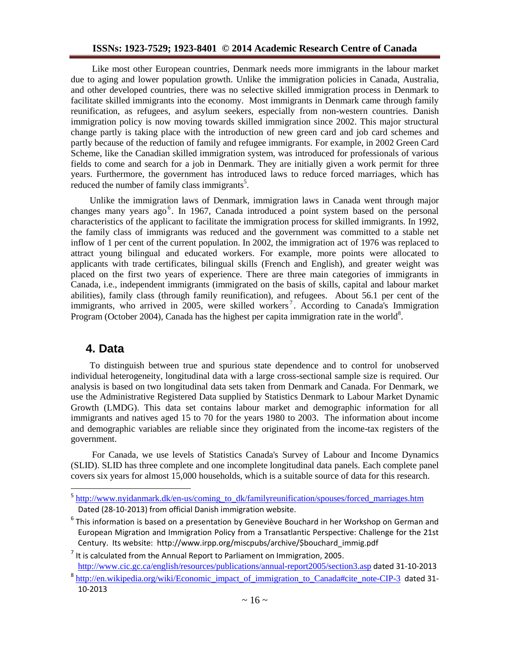## **ISSNs: 1923-7529; 1923-8401 © 2014 Academic Research Centre of Canada**

Like most other European countries, Denmark needs more immigrants in the labour market due to aging and lower population growth. Unlike the immigration policies in Canada, Australia, and other developed countries, there was no selective skilled immigration process in Denmark to facilitate skilled immigrants into the economy. Most immigrants in Denmark came through family reunification, as refugees, and asylum seekers, especially from non-western countries. Danish immigration policy is now moving towards skilled immigration since 2002. This major structural change partly is taking place with the introduction of new green card and job card schemes and partly because of the reduction of family and refugee immigrants. For example, in 2002 Green Card Scheme, like the Canadian skilled immigration system, was introduced for professionals of various fields to come and search for a job in Denmark. They are initially given a work permit for three years. Furthermore, the government has introduced laws to reduce forced marriages, which has reduced the number of family class immigrants<sup>5</sup>.

Unlike the immigration laws of Denmark, immigration laws in Canada went through major changes many years ago<sup>6</sup>. In 1967, Canada introduced a point system based on the personal characteristics of the applicant to facilitate the immigration process for skilled immigrants. In 1992, the family class of immigrants was reduced and the government was committed to a stable net inflow of 1 per cent of the current population. In 2002, the immigration act of 1976 was replaced to attract young bilingual and educated workers. For example, more points were allocated to applicants with trade certificates, bilingual skills (French and English), and greater weight was placed on the first two years of experience. There are three main categories of immigrants in Canada, i.e., independent immigrants (immigrated on the basis of skills, capital and labour market abilities), family class (through family reunification), and refugees. About 56.1 per cent of the immigrants, who arrived in 2005, were skilled workers<sup>7</sup>. According to Canada's Immigration Program (October 2004), Canada has the highest per capita immigration rate in the world<sup>8</sup>.

# **4. Data**

To distinguish between true and spurious state dependence and to control for unobserved individual heterogeneity, longitudinal data with a large cross-sectional sample size is required. Our analysis is based on two longitudinal data sets taken from Denmark and Canada. For Denmark, we use the Administrative Registered Data supplied by Statistics Denmark to Labour Market Dynamic Growth (LMDG). This data set contains labour market and demographic information for all immigrants and natives aged 15 to 70 for the years 1980 to 2003. The information about income and demographic variables are reliable since they originated from the income-tax registers of the government.

For Canada, we use levels of Statistics Canada's Survey of Labour and Income Dynamics (SLID). SLID has three complete and one incomplete longitudinal data panels. Each complete panel covers six years for almost 15,000 households, which is a suitable source of data for this research.

<http://www.cic.gc.ca/english/resources/publications/annual-report2005/section3.asp> dated 31-10-2013

<sup>&</sup>lt;sup>5</sup> [http://www.nyidanmark.dk/en-us/coming\\_to\\_dk/familyreunification/spouses/forced\\_marriages.htm](http://www.nyidanmark.dk/en-us/coming_to_dk/familyreunification/spouses/forced_marriages.htm) Dated (28-10-2013) from official Danish immigration website.

<sup>&</sup>lt;sup>6</sup> This information is based on a presentation by Geneviève Bouchard in her Workshop on German and European Migration and Immigration Policy from a Transatlantic Perspective: Challenge for the 21st Century. Its website: http://www.irpp.org/miscpubs/archive/\$bouchard\_immig.pdf

 $<sup>7</sup>$  It is calculated from the Annual Report to Parliament on Immigration, 2005.</sup>

<sup>&</sup>lt;sup>8</sup> [http://en.wikipedia.org/wiki/Economic\\_impact\\_of\\_immigration\\_to\\_Canada#cite\\_note-CIP-3](http://en.wikipedia.org/wiki/Economic_impact_of_immigration_to_Canada#cite_note-CIP-3) dated 31-10-2013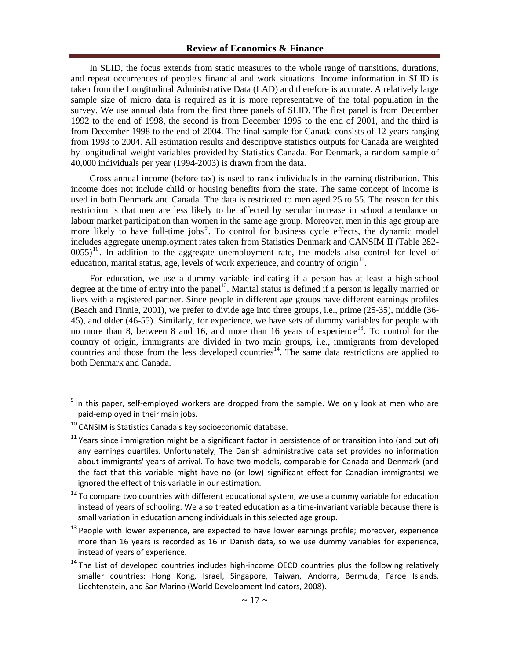In SLID, the focus extends from static measures to the whole range of transitions, durations, and repeat occurrences of people's financial and work situations. Income information in SLID is taken from the Longitudinal Administrative Data (LAD) and therefore is accurate. A relatively large sample size of micro data is required as it is more representative of the total population in the survey. We use annual data from the first three panels of SLID. The first panel is from December 1992 to the end of 1998, the second is from December 1995 to the end of 2001, and the third is from December 1998 to the end of 2004. The final sample for Canada consists of 12 years ranging from 1993 to 2004. All estimation results and descriptive statistics outputs for Canada are weighted by longitudinal weight variables provided by Statistics Canada. For Denmark, a random sample of 40,000 individuals per year (1994-2003) is drawn from the data.

Gross annual income (before tax) is used to rank individuals in the earning distribution. This income does not include child or housing benefits from the state. The same concept of income is used in both Denmark and Canada. The data is restricted to men aged 25 to 55. The reason for this restriction is that men are less likely to be affected by secular increase in school attendance or labour market participation than women in the same age group. Moreover, men in this age group are more likely to have full-time jobs<sup>9</sup>. To control for business cycle effects, the dynamic model includes aggregate unemployment rates taken from Statistics Denmark and CANSIM II (Table 282-  $0055$ <sup>10</sup>. In addition to the aggregate unemployment rate, the models also control for level of education, marital status, age, levels of work experience, and country of origin $11$ .

For education, we use a dummy variable indicating if a person has at least a high-school degree at the time of entry into the panel<sup>12</sup>. Marital status is defined if a person is legally married or lives with a registered partner. Since people in different age groups have different earnings profiles (Beach and Finnie, 2001), we prefer to divide age into three groups, i.e., prime (25-35), middle (36- 45), and older (46-55). Similarly, for experience, we have sets of dummy variables for people with no more than 8, between 8 and 16, and more than 16 years of experience<sup>13</sup>. To control for the country of origin, immigrants are divided in two main groups, i.e., immigrants from developed countries and those from the less developed countries<sup>14</sup>. The same data restrictions are applied to both Denmark and Canada.

<sup>&</sup>lt;sup>9</sup> In this paper, self-employed workers are dropped from the sample. We only look at men who are paid-employed in their main jobs.

 $10$  CANSIM is Statistics Canada's key socioeconomic database.

 $11$  Years since immigration might be a significant factor in persistence of or transition into (and out of) any earnings quartiles. Unfortunately, The Danish administrative data set provides no information about immigrants' years of arrival. To have two models, comparable for Canada and Denmark (and the fact that this variable might have no (or low) significant effect for Canadian immigrants) we ignored the effect of this variable in our estimation.

 $12$  To compare two countries with different educational system, we use a dummy variable for education instead of years of schooling. We also treated education as a time-invariant variable because there is small variation in education among individuals in this selected age group.

 $13$  People with lower experience, are expected to have lower earnings profile; moreover, experience more than 16 years is recorded as 16 in Danish data, so we use dummy variables for experience, instead of years of experience.

 $14$  The List of developed countries includes high-income OECD countries plus the following relatively smaller countries: Hong Kong, Israel, Singapore, Taiwan, Andorra, Bermuda, Faroe Islands, Liechtenstein, and San Marino (World Development Indicators, 2008).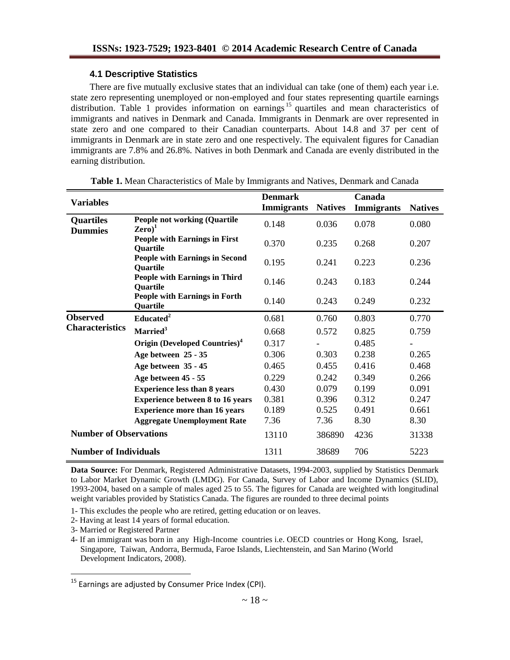## **4.1 Descriptive Statistics**

There are five mutually exclusive states that an individual can take (one of them) each year i.e. state zero representing unemployed or non-employed and four states representing quartile earnings distribution. Table 1 provides information on earnings<sup>15</sup> quartiles and mean characteristics of immigrants and natives in Denmark and Canada. Immigrants in Denmark are over represented in state zero and one compared to their Canadian counterparts. About 14.8 and 37 per cent of immigrants in Denmark are in state zero and one respectively. The equivalent figures for Canadian immigrants are 7.8% and 26.8%. Natives in both Denmark and Canada are evenly distributed in the earning distribution.

|                                    |                                                                   | <b>Denmark</b>    |                | Canada            |                |
|------------------------------------|-------------------------------------------------------------------|-------------------|----------------|-------------------|----------------|
| <b>Variables</b>                   |                                                                   | <b>Immigrants</b> | <b>Natives</b> | <b>Immigrants</b> | <b>Natives</b> |
| <b>Quartiles</b><br><b>Dummies</b> | <b>People not working (Quartile</b><br>$\mathbf{Zero})^1$         | 0.148             | 0.036          | 0.078             | 0.080          |
|                                    | <b>People with Earnings in First</b><br><b>Ouartile</b>           | 0.370             | 0.235          | 0.268             | 0.207          |
|                                    | <b>People with Earnings in Second</b><br><b>Quartile</b>          | 0.195             | 0.241          | 0.223             | 0.236          |
|                                    | <b>People with Earnings in Third</b><br><b>Quartile</b>           | 0.146             | 0.243          | 0.183             | 0.244          |
|                                    | <b>People with Earnings in Forth</b><br>Quartile                  | 0.140             | 0.243          | 0.249             | 0.232          |
| <b>Observed</b>                    | Educated <sup>2</sup>                                             | 0.681             | 0.760          | 0.803             | 0.770          |
| <b>Characteristics</b>             | Married <sup>3</sup><br>Origin (Developed Countries) <sup>4</sup> | 0.668             | 0.572          | 0.825             | 0.759          |
|                                    |                                                                   | 0.317             |                | 0.485             |                |
|                                    | Age between 25 - 35                                               | 0.306             | 0.303          | 0.238             | 0.265          |
|                                    | Age between 35 - 45                                               | 0.465             | 0.455          | 0.416             | 0.468          |
|                                    | Age between 45 - 55                                               | 0.229             | 0.242          | 0.349             | 0.266          |
|                                    | <b>Experience less than 8 years</b>                               | 0.430             | 0.079          | 0.199             | 0.091          |
|                                    | <b>Experience between 8 to 16 years</b>                           | 0.381             | 0.396          | 0.312             | 0.247          |
|                                    | <b>Experience more than 16 years</b>                              | 0.189             | 0.525          | 0.491             | 0.661          |
|                                    | <b>Aggregate Unemployment Rate</b>                                | 7.36              | 7.36           | 8.30              | 8.30           |
| <b>Number of Observations</b>      |                                                                   | 13110             | 386890         | 4236              | 31338          |
| <b>Number of Individuals</b>       |                                                                   | 1311              | 38689          | 706               | 5223           |

**Table 1.** Mean Characteristics of Male by Immigrants and Natives, Denmark and Canada

**Data Source:** For Denmark, Registered Administrative Datasets, 1994-2003, supplied by Statistics Denmark to Labor Market Dynamic Growth (LMDG). For Canada, Survey of Labor and Income Dynamics (SLID), 1993-2004, based on a sample of males aged 25 to 55. The figures for Canada are weighted with longitudinal weight variables provided by Statistics Canada. The figures are rounded to three decimal points

1- This excludes the people who are retired, getting education or on leaves.

2- Having at least 14 years of formal education.

3- Married or Registered Partner

 $\overline{a}$ 

4- If an immigrant was born in any High-Income countries i.e. OECD countries or Hong Kong, Israel, Singapore, Taiwan, Andorra, Bermuda, Faroe Islands, Liechtenstein, and San Marino (World Development Indicators, 2008).

<sup>&</sup>lt;sup>15</sup> Earnings are adjusted by Consumer Price Index (CPI).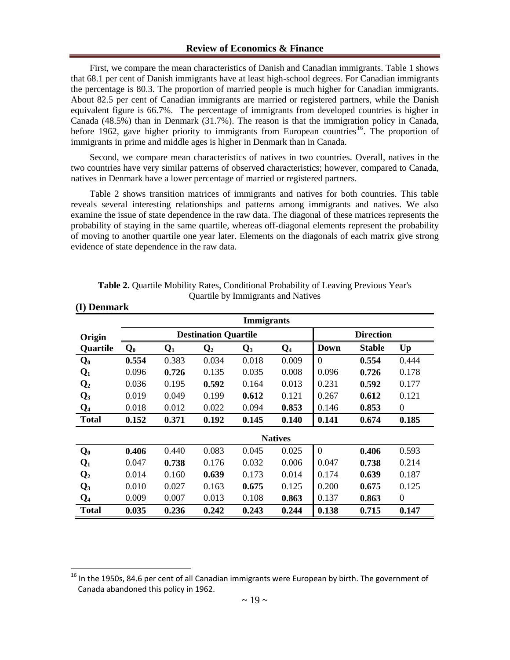First, we compare the mean characteristics of Danish and Canadian immigrants. Table 1 shows that 68.1 per cent of Danish immigrants have at least high-school degrees. For Canadian immigrants the percentage is 80.3. The proportion of married people is much higher for Canadian immigrants. About 82.5 per cent of Canadian immigrants are married or registered partners, while the Danish equivalent figure is 66.7%. The percentage of immigrants from developed countries is higher in Canada (48.5%) than in Denmark (31.7%). The reason is that the immigration policy in Canada, before 1962, gave higher priority to immigrants from European countries<sup>16</sup>. The proportion of immigrants in prime and middle ages is higher in Denmark than in Canada.

Second, we compare mean characteristics of natives in two countries. Overall, natives in the two countries have very similar patterns of observed characteristics; however, compared to Canada, natives in Denmark have a lower percentage of married or registered partners.

Table 2 shows transition matrices of immigrants and natives for both countries. This table reveals several interesting relationships and patterns among immigrants and natives. We also examine the issue of state dependence in the raw data. The diagonal of these matrices represents the probability of staying in the same quartile, whereas off-diagonal elements represent the probability of moving to another quartile one year later. Elements on the diagonals of each matrix give strong evidence of state dependence in the raw data.

|                |                                                                                     | <b>Immigrants</b> |                             |       |                  |          |               |                |  |  |  |  |
|----------------|-------------------------------------------------------------------------------------|-------------------|-----------------------------|-------|------------------|----------|---------------|----------------|--|--|--|--|
| Origin         |                                                                                     |                   | <b>Destination Quartile</b> |       | <b>Direction</b> |          |               |                |  |  |  |  |
| Quartile       | <b>Down</b><br>$\mathbf{Q}_2$<br>$\mathbf{Q}_1$<br>$\mathbf{Q}_3$<br>$Q_4$<br>$Q_0$ |                   |                             |       |                  |          | <b>Stable</b> | Up             |  |  |  |  |
| $\mathbf{Q}_0$ | 0.554                                                                               | 0.383             | 0.034                       | 0.018 | 0.009            | $\theta$ | 0.554         | 0.444          |  |  |  |  |
| $\mathbf{Q}_1$ | 0.096                                                                               | 0.726             | 0.135                       | 0.035 | 0.008            | 0.096    | 0.726         | 0.178          |  |  |  |  |
| $\mathbf{Q}_2$ | 0.036                                                                               | 0.195             | 0.592                       | 0.164 | 0.013            | 0.231    | 0.592         | 0.177          |  |  |  |  |
| $\mathbf{Q}_3$ | 0.019                                                                               | 0.049             | 0.199                       | 0.612 | 0.121            | 0.267    | 0.612         | 0.121          |  |  |  |  |
| $\bf{Q}_4$     | 0.018                                                                               | 0.012             | 0.022                       | 0.094 | 0.853            | 0.146    | 0.853         | $\mathbf{0}$   |  |  |  |  |
| <b>Total</b>   | 0.152                                                                               | 0.371             | 0.192                       | 0.145 | 0.140            | 0.141    | 0.674         | 0.185          |  |  |  |  |
|                |                                                                                     |                   |                             |       | <b>Natives</b>   |          |               |                |  |  |  |  |
| $Q_0$          | 0.406                                                                               | 0.440             | 0.083                       | 0.045 | 0.025            | $\Omega$ | 0.406         | 0.593          |  |  |  |  |
| $Q_1$          | 0.047                                                                               | 0.738             | 0.176                       | 0.032 | 0.006            | 0.047    | 0.738         | 0.214          |  |  |  |  |
| $\mathbf{Q}_2$ | 0.014                                                                               | 0.160             | 0.639                       | 0.173 | 0.014            | 0.174    | 0.639         | 0.187          |  |  |  |  |
| $\mathbf{Q}_3$ | 0.010                                                                               | 0.027             | 0.163                       | 0.675 | 0.125            | 0.200    | 0.675         | 0.125          |  |  |  |  |
| $Q_4$          | 0.009                                                                               | 0.007             | 0.013                       | 0.108 | 0.863            | 0.137    | 0.863         | $\overline{0}$ |  |  |  |  |
| <b>Total</b>   | 0.035                                                                               | 0.236             | 0.242                       | 0.243 | 0.244            | 0.138    | 0.715         | 0.147          |  |  |  |  |

| <b>Table 2.</b> Quartile Mobility Rates, Conditional Probability of Leaving Previous Year's |  |
|---------------------------------------------------------------------------------------------|--|
| Quartile by Immigrants and Natives                                                          |  |

**(I) Denmark** 

<sup>&</sup>lt;sup>16</sup> In the 1950s, 84.6 per cent of all Canadian immigrants were European by birth. The government of Canada abandoned this policy in 1962.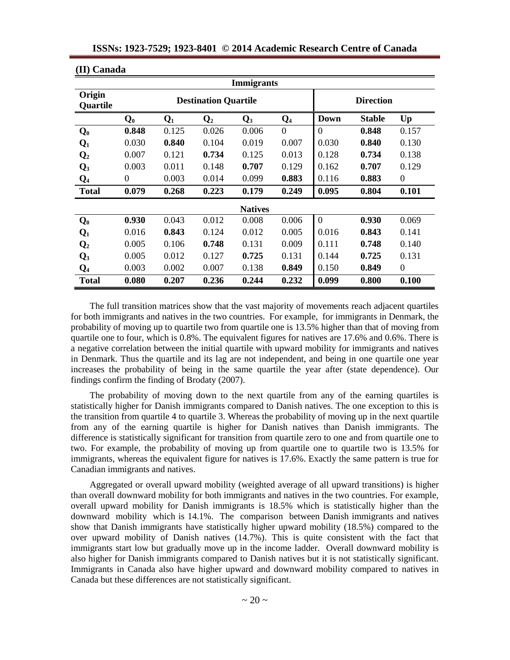| (II) Canada        |                  |       |                             |                |                  |                |               |                  |  |  |  |
|--------------------|------------------|-------|-----------------------------|----------------|------------------|----------------|---------------|------------------|--|--|--|
| <b>Immigrants</b>  |                  |       |                             |                |                  |                |               |                  |  |  |  |
| Origin<br>Quartile |                  |       | <b>Destination Quartile</b> |                | <b>Direction</b> |                |               |                  |  |  |  |
|                    | $\mathbf{Q}_0$   | $Q_1$ | $\mathbf{Q}_2$              | $\mathbf{Q}_3$ | Q <sub>4</sub>   | <b>Down</b>    | <b>Stable</b> | Up               |  |  |  |
| $Q_0$              | 0.848            | 0.125 | 0.026                       | 0.006          | $\overline{0}$   | $\Omega$       | 0.848         | 0.157            |  |  |  |
| $Q_1$              | 0.030            | 0.840 | 0.104                       | 0.019          | 0.007            | 0.030          | 0.840         | 0.130            |  |  |  |
| $\mathbf{Q}_2$     | 0.007            | 0.121 | 0.734                       | 0.125          | 0.013            | 0.128          | 0.734         | 0.138            |  |  |  |
| $\mathbf{Q}_3$     | 0.003            | 0.011 | 0.148                       | 0.707          | 0.129            | 0.162          | 0.707         | 0.129            |  |  |  |
| $Q_4$              | $\boldsymbol{0}$ | 0.003 | 0.014                       | 0.099          | 0.883            | 0.116          | 0.883         | $\boldsymbol{0}$ |  |  |  |
| <b>Total</b>       | 0.079            | 0.268 | 0.223                       | 0.179          | 0.249            | 0.095          | 0.804         | 0.101            |  |  |  |
|                    |                  |       |                             | <b>Natives</b> |                  |                |               |                  |  |  |  |
| $Q_0$              | 0.930            | 0.043 | 0.012                       | 0.008          | 0.006            | $\overline{0}$ | 0.930         | 0.069            |  |  |  |
| $Q_1$              | 0.016            | 0.843 | 0.124                       | 0.012          | 0.005            | 0.016          | 0.843         | 0.141            |  |  |  |
| $\mathbf{Q}_2$     | 0.005            | 0.106 | 0.748                       | 0.131          | 0.009            | 0.111          | 0.748         | 0.140            |  |  |  |
| $\mathbf{Q}_3$     | 0.005            | 0.012 | 0.127                       | 0.725          | 0.131            | 0.144          | 0.725         | 0.131            |  |  |  |
| $Q_4$              | 0.003            | 0.002 | 0.007                       | 0.138          | 0.849            | 0.150          | 0.849         | $\boldsymbol{0}$ |  |  |  |
| <b>Total</b>       | 0.080            | 0.207 | 0.236                       | 0.244          | 0.232            | 0.099          | 0.800         | 0.100            |  |  |  |

The full transition matrices show that the vast majority of movements reach adjacent quartiles for both immigrants and natives in the two countries. For example, for immigrants in Denmark, the probability of moving up to quartile two from quartile one is 13.5% higher than that of moving from quartile one to four, which is 0.8%. The equivalent figures for natives are 17.6% and 0.6%. There is a negative correlation between the initial quartile with upward mobility for immigrants and natives in Denmark. Thus the quartile and its lag are not independent, and being in one quartile one year increases the probability of being in the same quartile the year after (state dependence). Our findings confirm the finding of Brodaty (2007).

The probability of moving down to the next quartile from any of the earning quartiles is statistically higher for Danish immigrants compared to Danish natives. The one exception to this is the transition from quartile 4 to quartile 3. Whereas the probability of moving up in the next quartile from any of the earning quartile is higher for Danish natives than Danish immigrants. The difference is statistically significant for transition from quartile zero to one and from quartile one to two. For example, the probability of moving up from quartile one to quartile two is 13.5% for immigrants, whereas the equivalent figure for natives is 17.6%. Exactly the same pattern is true for Canadian immigrants and natives.

Aggregated or overall upward mobility (weighted average of all upward transitions) is higher than overall downward mobility for both immigrants and natives in the two countries. For example, overall upward mobility for Danish immigrants is 18.5% which is statistically higher than the downward mobility which is 14.1%. The comparison between Danish immigrants and natives show that Danish immigrants have statistically higher upward mobility (18.5%) compared to the over upward mobility of Danish natives (14.7%). This is quite consistent with the fact that immigrants start low but gradually move up in the income ladder. Overall downward mobility is also higher for Danish immigrants compared to Danish natives but it is not statistically significant. Immigrants in Canada also have higher upward and downward mobility compared to natives in Canada but these differences are not statistically significant.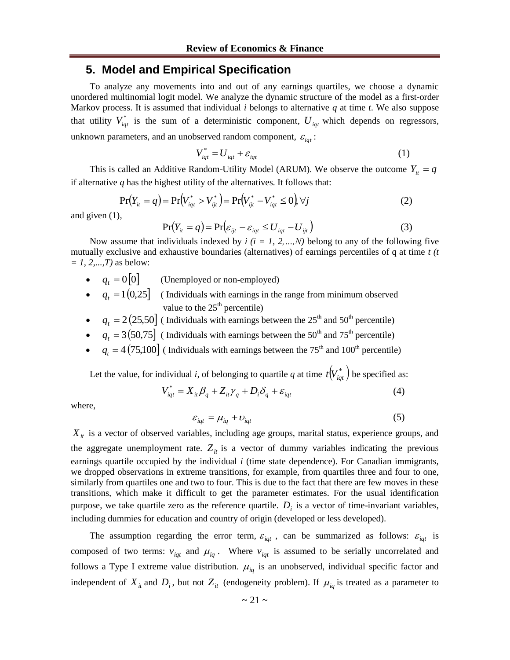## **5. Model and Empirical Specification**

To analyze any movements into and out of any earnings quartiles, we choose a dynamic unordered multinomial logit model. We analyze the dynamic structure of the model as a first-order Markov process. It is assumed that individual *i* belongs to alternative *q* at time *t*. We also suppose that utility  $V_{iqt}^*$  is the sum of a deterministic component,  $U_{iqt}$  which depends on regressors, unknown parameters, and an unobserved random component,  $\varepsilon_{iqt}$ :

$$
V_{iqt}^* = U_{iqt} + \varepsilon_{iqt}
$$
 (1)

This is called an Additive Random-Utility Model (ARUM). We observe the outcome  $Y_{it} = q$ if alternative  $q$  has the highest utility of the alternatives. It follows that:

$$
\Pr(Y_{it} = q) = \Pr(V_{igt}^* > V_{ijt}^*) = \Pr(V_{ijt}^* - V_{igt}^* \le 0) \,\forall j
$$
 (2)

and given (1),

$$
\Pr(Y_{it} = q) = \Pr(\varepsilon_{ijt} - \varepsilon_{iqt} \le U_{iqt} - U_{ijt})
$$
\n(3)

Now assume that individuals indexed by  $i$  ( $i = 1, 2, ..., N$ ) belong to any of the following five mutually exclusive and exhaustive boundaries (alternatives) of earnings percentiles of q at time *t (t = 1, 2,...,T)* as below:

- $q_t = 0[0]$ (Unemployed or non-employed)
- $\bullet$   $q_t = 1(0.25)$  (Individuals with earnings in the range from minimum observed value to the  $25<sup>th</sup>$  percentile)
- $\bullet$   $q_t = 2(25,50]$  (Individuals with earnings between the 25<sup>th</sup> and 50<sup>th</sup> percentile)
- $\bullet$   $q_t = 3(50,75)$  (Individuals with earnings between the 50<sup>th</sup> and 75<sup>th</sup> percentile)
- $q_t = 4(75,100)$  (Individuals with earnings between the 75<sup>th</sup> and 100<sup>th</sup> percentile)

Let the value, for individual *i*, of belonging to quartile *q* at time  $t(V_{iqt}^*)$  be specified as:

$$
V_{iqt}^* = X_{it}\beta_q + Z_{it}\gamma_q + D_i\delta_q + \varepsilon_{iqt}
$$
\n<sup>(4)</sup>

where,

$$
\varepsilon_{iqt} = \mu_{iq} + \nu_{iqt} \tag{5}
$$

 $X_{it}$  is a vector of observed variables, including age groups, marital status, experience groups, and the aggregate unemployment rate.  $Z_{it}$  is a vector of dummy variables indicating the previous earnings quartile occupied by the individual *i* (time state dependence). For Canadian immigrants, we dropped observations in extreme transitions, for example, from quartiles three and four to one, similarly from quartiles one and two to four. This is due to the fact that there are few moves in these transitions, which make it difficult to get the parameter estimates. For the usual identification purpose, we take quartile zero as the reference quartile.  $D_i$  is a vector of time-invariant variables, including dummies for education and country of origin (developed or less developed).

The assumption regarding the error term,  $\varepsilon_{iqt}$ , can be summarized as follows:  $\varepsilon_{iqt}$  is composed of two terms:  $v_{iqt}$  and  $\mu_{iq}$ . Where  $v_{iqt}$  is assumed to be serially uncorrelated and follows a Type I extreme value distribution.  $\mu_{iq}$  is an unobserved, individual specific factor and independent of  $X_{it}$  and  $D_i$ , but not  $Z_{it}$  (endogeneity problem). If  $\mu_{iq}$  is treated as a parameter to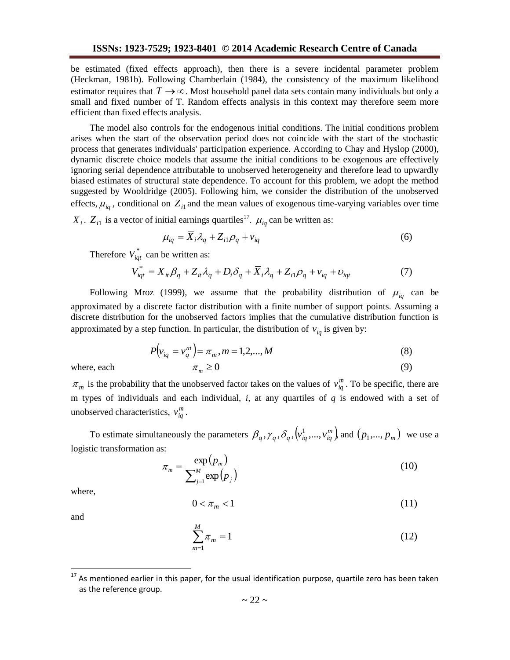be estimated (fixed effects approach), then there is a severe incidental parameter problem (Heckman, 1981b). Following Chamberlain (1984), the consistency of the maximum likelihood estimator requires that  $T \rightarrow \infty$ . Most household panel data sets contain many individuals but only a small and fixed number of T. Random effects analysis in this context may therefore seem more efficient than fixed effects analysis.

The model also controls for the endogenous initial conditions. The initial conditions problem arises when the start of the observation period does not coincide with the start of the stochastic process that generates individuals' participation experience. According to Chay and Hyslop (2000), dynamic discrete choice models that assume the initial conditions to be exogenous are effectively ignoring serial dependence attributable to unobserved heterogeneity and therefore lead to upwardly biased estimates of structural state dependence. To account for this problem, we adopt the method suggested by Wooldridge (2005). Following him, we consider the distribution of the unobserved effects,  $\mu_{iq}$ , conditional on  $Z_{i1}$  and the mean values of exogenous time-varying variables over time

 $\overline{X}_i$ .  $Z_{i1}$  is a vector of initial earnings quartiles<sup>17</sup>.  $\mu_{iq}$  can be written as:

$$
\mu_{iq} = \overline{X}_i \lambda_q + Z_{i1} \rho_q + v_{iq} \tag{6}
$$

Therefore  $V_{iqt}^*$  can be written as:

$$
V_{\dot{q}t}^* = X_{it}\beta_q + Z_{it}\lambda_q + D_i\delta_q + \overline{X}_i\lambda_q + Z_{i1}\rho_q + v_{iq} + v_{iqt}
$$
\n<sup>(7)</sup>

Following Mroz (1999), we assume that the probability distribution of  $\mu_{iq}$  can be approximated by a discrete factor distribution with a finite number of support points. Assuming a discrete distribution for the unobserved factors implies that the cumulative distribution function is approximated by a step function. In particular, the distribution of  $v_{iq}$  is given by:

$$
P(v_{iq} = v_q^m) = \pi_m, m = 1, 2, ..., M
$$
\n
$$
\pi_m \ge 0
$$
\n(8)

where, each

$$
\geq 0
$$

 $\pi_m$  is the probability that the unobserved factor takes on the values of  $v_{iq}^m$ . To be specific, there are m types of individuals and each individual, *i,* at any quartiles of *q* is endowed with a set of unobserved characteristics,  $v_{iq}^m$ .

To estimate simultaneously the parameters  $\beta_q$ ,  $\gamma_q$ ,  $\delta_q$ ,  $\left\langle v_{iq}^1, ..., v_{iq}^m \right\rangle$  and  $\left( p_1, ..., p_m \right)$  we use a logistic transformation as:

$$
\pi_m = \frac{\exp(p_m)}{\sum_{j=1}^M \exp(p_j)}\tag{10}
$$

where,

$$
0 < \pi_m < 1 \tag{11}
$$

and

$$
\sum_{m=1}^{M} \pi_m = 1
$$
 (12)

As mentioned earlier in this paper, for the usual identification purpose, quartile zero has been taken as the reference group.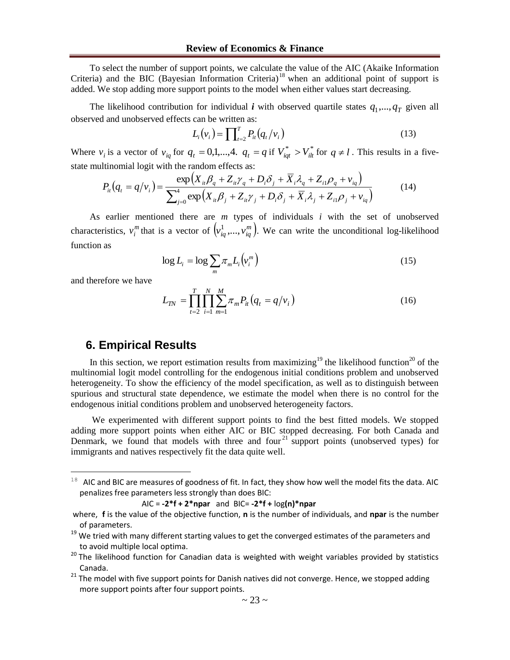To select the number of support points, we calculate the value of the AIC (Akaike Information Criteria) and the BIC (Bayesian Information Criteria)<sup>18</sup> when an additional point of support is added. We stop adding more support points to the model when either values start decreasing.

The likelihood contribution for individual *i* with observed quartile states  $q_1$ ,...,  $q_T$  given all observed and unobserved effects can be written as:

$$
L_i(v_i) = \prod_{t=2}^T P_{it}(q_t/v_i)
$$
 (13)

Where  $v_i$  is a vector of  $v_{iq}$  for  $q_t = 0,1,...,4$ .  $q_t = q$  if  $V_{iqt}^* > V_{ilt}^*$  for  $q \neq l$ . This results in a fivestate multinomial logit with the random effects as:

$$
P_{ii}(q_i = q/v_i) = \frac{\exp\left(X_{ii}\beta_q + Z_{ii}\gamma_q + D_i\delta_j + \overline{X}_i\lambda_q + Z_{i1}\rho_q + v_{iq}\right)}{\sum_{j=0}^4 \exp\left(X_{ii}\beta_j + Z_{ii}\gamma_j + D_i\delta_j + \overline{X}_i\lambda_j + Z_{i1}\rho_j + v_{iq}\right)}
$$
(14)

As earlier mentioned there are *m* types of individuals *i* with the set of unobserved characteristics,  $v_i^m$  $v_i^m$  that is a vector of  $\left(v_i^1, \ldots, v_{iq}^m\right)$ . We can write the unconditional log-likelihood function as

$$
\log L_i = \log \sum_m \pi_m L_i \left( v_i^m \right) \tag{15}
$$

and therefore we have

 $\overline{a}$ 

$$
L_{TN} = \prod_{t=2}^{T} \prod_{i=1}^{N} \sum_{m=1}^{M} \pi_m P_{it} \left( q_t = q / v_i \right)
$$
 (16)

# **6. Empirical Results**

In this section, we report estimation results from maximizing<sup>19</sup> the likelihood function<sup>20</sup> of the multinomial logit model controlling for the endogenous initial conditions problem and unobserved heterogeneity. To show the efficiency of the model specification, as well as to distinguish between spurious and structural state dependence, we estimate the model when there is no control for the endogenous initial conditions problem and unobserved heterogeneity factors.

We experimented with different support points to find the best fitted models. We stopped adding more support points when either AIC or BIC stopped decreasing. For both Canada and Denmark, we found that models with three and four<sup>21</sup> support points (unobserved types) for immigrants and natives respectively fit the data quite well.

 $18$  AIC and BIC are measures of goodness of fit. In fact, they show how well the model fits the data. AIC penalizes free parameters less strongly than does BIC:

AIC = **-2\*f + 2\*npar** and BIC= **-2\*f +** log**(n)\*npar**

where, **f** is the value of the objective function, **n** is the number of individuals, and **npar** is the number of parameters.

<sup>&</sup>lt;sup>19</sup> We tried with many different starting values to get the converged estimates of the parameters and to avoid multiple local optima.

<sup>&</sup>lt;sup>20</sup> The likelihood function for Canadian data is weighted with weight variables provided by statistics Canada.

 $21$  The model with five support points for Danish natives did not converge. Hence, we stopped adding more support points after four support points.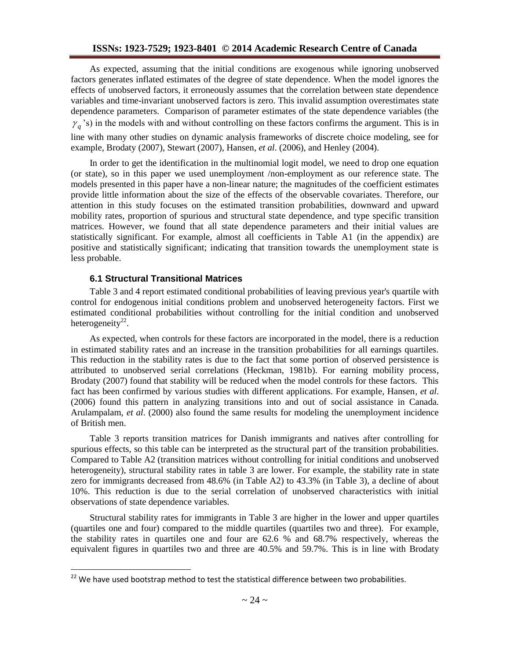As expected, assuming that the initial conditions are exogenous while ignoring unobserved factors generates inflated estimates of the degree of state dependence. When the model ignores the effects of unobserved factors, it erroneously assumes that the correlation between state dependence variables and time-invariant unobserved factors is zero. This invalid assumption overestimates state dependence parameters. Comparison of parameter estimates of the state dependence variables (the  $\gamma_q$ 's) in the models with and without controlling on these factors confirms the argument. This is in line with many other studies on dynamic analysis frameworks of discrete choice modeling, see for example, Brodaty (2007), Stewart (2007), Hansen, *et al*. (2006), and Henley (2004).

In order to get the identification in the multinomial logit model, we need to drop one equation (or state), so in this paper we used unemployment /non-employment as our reference state. The models presented in this paper have a non-linear nature; the magnitudes of the coefficient estimates provide little information about the size of the effects of the observable covariates. Therefore, our attention in this study focuses on the estimated transition probabilities, downward and upward mobility rates, proportion of spurious and structural state dependence, and type specific transition matrices. However, we found that all state dependence parameters and their initial values are statistically significant. For example, almost all coefficients in Table A1 (in the appendix) are positive and statistically significant; indicating that transition towards the unemployment state is less probable.

### **6.1 Structural Transitional Matrices**

 $\overline{a}$ 

Table 3 and 4 report estimated conditional probabilities of leaving previous year's quartile with control for endogenous initial conditions problem and unobserved heterogeneity factors. First we estimated conditional probabilities without controlling for the initial condition and unobserved heterogeneity<sup>22</sup>.

As expected, when controls for these factors are incorporated in the model, there is a reduction in estimated stability rates and an increase in the transition probabilities for all earnings quartiles. This reduction in the stability rates is due to the fact that some portion of observed persistence is attributed to unobserved serial correlations (Heckman, 1981b). For earning mobility process, Brodaty (2007) found that stability will be reduced when the model controls for these factors. This fact has been confirmed by various studies with different applications. For example, Hansen, *et al*. (2006) found this pattern in analyzing transitions into and out of social assistance in Canada. Arulampalam, *et al*. (2000) also found the same results for modeling the unemployment incidence of British men.

Table 3 reports transition matrices for Danish immigrants and natives after controlling for spurious effects, so this table can be interpreted as the structural part of the transition probabilities. Compared to Table A2 (transition matrices without controlling for initial conditions and unobserved heterogeneity), structural stability rates in table 3 are lower. For example, the stability rate in state zero for immigrants decreased from 48.6% (in Table A2) to 43.3% (in Table 3), a decline of about 10%. This reduction is due to the serial correlation of unobserved characteristics with initial observations of state dependence variables.

Structural stability rates for immigrants in Table 3 are higher in the lower and upper quartiles (quartiles one and four) compared to the middle quartiles (quartiles two and three). For example, the stability rates in quartiles one and four are 62.6 % and 68.7% respectively, whereas the equivalent figures in quartiles two and three are 40.5% and 59.7%. This is in line with Brodaty

 $22$  We have used bootstrap method to test the statistical difference between two probabilities.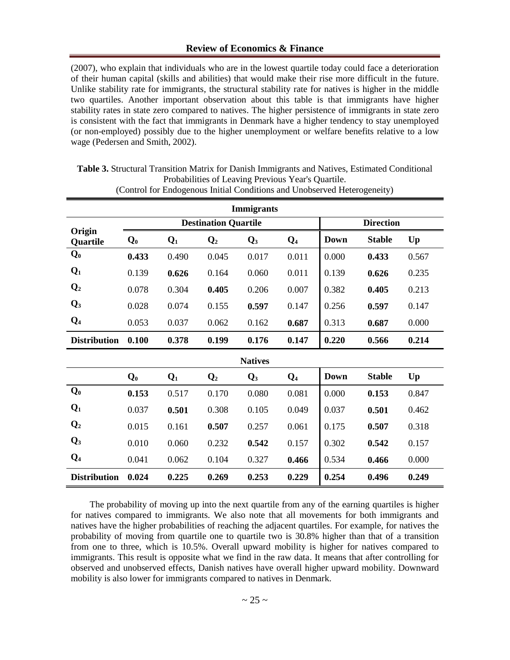(2007), who explain that individuals who are in the lowest quartile today could face a deterioration of their human capital (skills and abilities) that would make their rise more difficult in the future. Unlike stability rate for immigrants, the structural stability rate for natives is higher in the middle two quartiles. Another important observation about this table is that immigrants have higher stability rates in state zero compared to natives. The higher persistence of immigrants in state zero is consistent with the fact that immigrants in Denmark have a higher tendency to stay unemployed (or non-employed) possibly due to the higher unemployment or welfare benefits relative to a low wage (Pedersen and Smith, 2002).

| <b>Immigrants</b>   |                |                |                             |                |       |                  |               |       |  |  |  |
|---------------------|----------------|----------------|-----------------------------|----------------|-------|------------------|---------------|-------|--|--|--|
|                     |                |                | <b>Destination Quartile</b> |                |       | <b>Direction</b> |               |       |  |  |  |
| Origin<br>Quartile  | $\mathbf{Q}_0$ | $\mathbf{Q}_1$ | $\mathbf{Q}_2$              | $\mathbf{Q}_3$ | $Q_4$ | <b>Down</b>      | <b>Stable</b> | Up    |  |  |  |
| $Q_0$               | 0.433          | 0.490          | 0.045                       | 0.017          | 0.011 | 0.000            | 0.433         | 0.567 |  |  |  |
| $Q_1$               | 0.139          | 0.626          | 0.164                       | 0.060          | 0.011 | 0.139            | 0.626         | 0.235 |  |  |  |
| $\mathbf{Q}_2$      | 0.078          | 0.304          | 0.405                       | 0.206          | 0.007 | 0.382            | 0.405         | 0.213 |  |  |  |
| $\mathbf{Q}_3$      | 0.028          | 0.074          | 0.155                       | 0.597          | 0.147 | 0.256            | 0.597         | 0.147 |  |  |  |
| $Q_4$               | 0.053          | 0.037          | 0.062                       | 0.162          | 0.687 | 0.313            | 0.687         | 0.000 |  |  |  |
| <b>Distribution</b> | 0.100          | 0.378          | 0.199                       | 0.176          | 0.147 | 0.220            | 0.566         | 0.214 |  |  |  |
|                     |                |                |                             | <b>Natives</b> |       |                  |               |       |  |  |  |
|                     | $Q_0$          | $Q_1$          | $\mathbf{Q}_2$              | $\mathbf{Q}_3$ | $Q_4$ | <b>Down</b>      | <b>Stable</b> | Up    |  |  |  |
| $Q_0$               | 0.153          | 0.517          | 0.170                       | 0.080          | 0.081 | 0.000            | 0.153         | 0.847 |  |  |  |
| $Q_1$               | 0.037          | 0.501          | 0.308                       | 0.105          | 0.049 | 0.037            | 0.501         | 0.462 |  |  |  |
| $\mathbf{Q}_2$      | 0.015          | 0.161          | 0.507                       | 0.257          | 0.061 | 0.175            | 0.507         | 0.318 |  |  |  |
| $\mathbf{Q}_3$      | 0.010          | 0.060          | 0.232                       | 0.542          | 0.157 | 0.302            | 0.542         | 0.157 |  |  |  |
| $Q_4$               | 0.041          | 0.062          | 0.104                       | 0.327          | 0.466 | 0.534            | 0.466         | 0.000 |  |  |  |
| <b>Distribution</b> | 0.024          | 0.225          | 0.269                       | 0.253          | 0.229 | 0.254            | 0.496         | 0.249 |  |  |  |

**Table 3.** Structural Transition Matrix for Danish Immigrants and Natives, Estimated Conditional Probabilities of Leaving Previous Year's Quartile. (Control for Endogenous Initial Conditions and Unobserved Heterogeneity)

The probability of moving up into the next quartile from any of the earning quartiles is higher for natives compared to immigrants. We also note that all movements for both immigrants and natives have the higher probabilities of reaching the adjacent quartiles. For example, for natives the probability of moving from quartile one to quartile two is 30.8% higher than that of a transition from one to three, which is 10.5%. Overall upward mobility is higher for natives compared to immigrants. This result is opposite what we find in the raw data. It means that after controlling for observed and unobserved effects, Danish natives have overall higher upward mobility. Downward mobility is also lower for immigrants compared to natives in Denmark.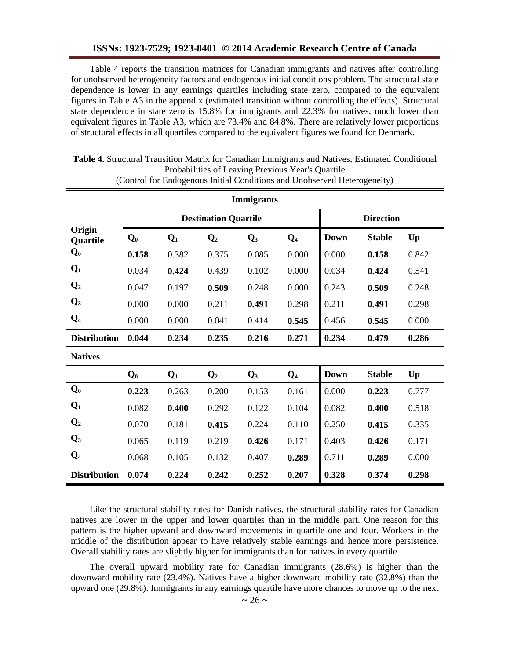#### **ISSNs: 1923-7529; 1923-8401 © 2014 Academic Research Centre of Canada**

Table 4 reports the transition matrices for Canadian immigrants and natives after controlling for unobserved heterogeneity factors and endogenous initial conditions problem. The structural state dependence is lower in any earnings quartiles including state zero, compared to the equivalent figures in Table A3 in the appendix (estimated transition without controlling the effects). Structural state dependence in state zero is 15.8% for immigrants and 22.3% for natives, much lower than equivalent figures in Table A3, which are 73.4% and 84.8%. There are relatively lower proportions of structural effects in all quartiles compared to the equivalent figures we found for Denmark.

| <b>Immigrants</b>   |                |                |                             |                |                  |             |               |       |  |  |  |
|---------------------|----------------|----------------|-----------------------------|----------------|------------------|-------------|---------------|-------|--|--|--|
|                     |                |                | <b>Destination Quartile</b> |                | <b>Direction</b> |             |               |       |  |  |  |
| Origin<br>Quartile  | $\mathbf{Q}_0$ | $\mathbf{Q}_1$ | $\mathbf{Q}_2$              | $\mathbf{Q}_3$ | $Q_4$            | <b>Down</b> | <b>Stable</b> | Up    |  |  |  |
| $Q_0$               | 0.158          | 0.382          | 0.375                       | 0.085          | 0.000            | 0.000       | 0.158         | 0.842 |  |  |  |
| $Q_1$               | 0.034          | 0.424          | 0.439                       | 0.102          | 0.000            | 0.034       | 0.424         | 0.541 |  |  |  |
| $\mathbf{Q}_2$      | 0.047          | 0.197          | 0.509                       | 0.248          | 0.000            | 0.243       | 0.509         | 0.248 |  |  |  |
| $\mathbf{Q}_3$      | 0.000          | 0.000          | 0.211                       | 0.491          | 0.298            | 0.211       | 0.491         | 0.298 |  |  |  |
| $Q_4$               | 0.000          | 0.000          | 0.041                       | 0.414          | 0.545            | 0.456       | 0.545         | 0.000 |  |  |  |
| <b>Distribution</b> | 0.044          | 0.234          | 0.235                       | 0.216          | 0.271            | 0.234       | 0.479         | 0.286 |  |  |  |
| <b>Natives</b>      |                |                |                             |                |                  |             |               |       |  |  |  |
|                     | $\mathbf{Q}_0$ | $\mathbf{Q}_1$ | $\mathbf{Q}_2$              | $\mathbf{Q}_3$ | $Q_4$            | <b>Down</b> | <b>Stable</b> | Up    |  |  |  |
| $Q_0$               | 0.223          | 0.263          | 0.200                       | 0.153          | 0.161            | 0.000       | 0.223         | 0.777 |  |  |  |
| $Q_1$               | 0.082          | 0.400          | 0.292                       | 0.122          | 0.104            | 0.082       | 0.400         | 0.518 |  |  |  |
| Q <sub>2</sub>      | 0.070          | 0.181          | 0.415                       | 0.224          | 0.110            | 0.250       | 0.415         | 0.335 |  |  |  |
| $Q_3$               | 0.065          | 0.119          | 0.219                       | 0.426          | 0.171            | 0.403       | 0.426         | 0.171 |  |  |  |
| $Q_4$               | 0.068          | 0.105          | 0.132                       | 0.407          | 0.289            | 0.711       | 0.289         | 0.000 |  |  |  |
| <b>Distribution</b> | 0.074          | 0.224          | 0.242                       | 0.252          | 0.207            | 0.328       | 0.374         | 0.298 |  |  |  |

**Table 4.** Structural Transition Matrix for Canadian Immigrants and Natives, Estimated Conditional Probabilities of Leaving Previous Year's Quartile

| Propagatures of Leaving Previous Tear's Quartite                         |  |  |
|--------------------------------------------------------------------------|--|--|
| (Control for Endogenous Initial Conditions and Unobserved Heterogeneity) |  |  |

Like the structural stability rates for Danish natives, the structural stability rates for Canadian natives are lower in the upper and lower quartiles than in the middle part. One reason for this pattern is the higher upward and downward movements in quartile one and four. Workers in the middle of the distribution appear to have relatively stable earnings and hence more persistence. Overall stability rates are slightly higher for immigrants than for natives in every quartile.

The overall upward mobility rate for Canadian immigrants (28.6%) is higher than the downward mobility rate (23.4%). Natives have a higher downward mobility rate (32.8%) than the upward one (29.8%). Immigrants in any earnings quartile have more chances to move up to the next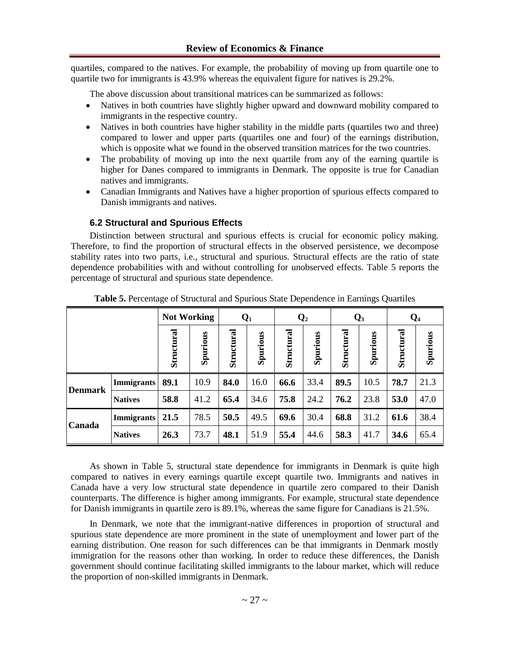quartiles, compared to the natives. For example, the probability of moving up from quartile one to quartile two for immigrants is 43.9% whereas the equivalent figure for natives is 29.2%.

The above discussion about transitional matrices can be summarized as follows:

- Natives in both countries have slightly higher upward and downward mobility compared to immigrants in the respective country.
- Natives in both countries have higher stability in the middle parts (quartiles two and three) compared to lower and upper parts (quartiles one and four) of the earnings distribution, which is opposite what we found in the observed transition matrices for the two countries.
- The probability of moving up into the next quartile from any of the earning quartile is higher for Danes compared to immigrants in Denmark. The opposite is true for Canadian natives and immigrants.
- Canadian Immigrants and Natives have a higher proportion of spurious effects compared to Danish immigrants and natives.

## **6.2 Structural and Spurious Effects**

Distinction between structural and spurious effects is crucial for economic policy making. Therefore, to find the proportion of structural effects in the observed persistence, we decompose stability rates into two parts, i.e., structural and spurious. Structural effects are the ratio of state dependence probabilities with and without controlling for unobserved effects. Table 5 reports the percentage of structural and spurious state dependence.

|                |                   | <b>Not Working</b> |          |            | $\mathbf{Q}_1$ |            | $\mathbf{Q}_2$ |            | $\mathbf{Q}_3$ |            | $Q_4$    |  |
|----------------|-------------------|--------------------|----------|------------|----------------|------------|----------------|------------|----------------|------------|----------|--|
|                |                   | Structural         | Spurious | Structural | Spurious       | Structural | Spurious       | Structural | Spurious       | Structural | Spurious |  |
| <b>Denmark</b> | <b>Immigrants</b> | 89.1               | 10.9     | 84.0       | 16.0           | 66.6       | 33.4           | 89.5       | 10.5           | 78.7       | 21.3     |  |
|                | <b>Natives</b>    | 58.8               | 41.2     | 65.4       | 34.6           | 75.8       | 24.2           | 76.2       | 23.8           | 53.0       | 47.0     |  |
| <b>Canada</b>  | <b>Immigrants</b> | 21.5               | 78.5     | 50.5       | 49.5           | 69.6       | 30.4           | 68.8       | 31.2           | 61.6       | 38.4     |  |
|                | <b>Natives</b>    | 26.3               | 73.7     | 48.1       | 51.9           | 55.4       | 44.6           | 58.3       | 41.7           | 34.6       | 65.4     |  |

**Table 5.** Percentage of Structural and Spurious State Dependence in Earnings Quartiles

As shown in Table 5, structural state dependence for immigrants in Denmark is quite high compared to natives in every earnings quartile except quartile two. Immigrants and natives in Canada have a very low structural state dependence in quartile zero compared to their Danish counterparts. The difference is higher among immigrants. For example, structural state dependence for Danish immigrants in quartile zero is 89.1%, whereas the same figure for Canadians is 21.5%.

In Denmark, we note that the immigrant-native differences in proportion of structural and spurious state dependence are more prominent in the state of unemployment and lower part of the earning distribution. One reason for such differences can be that immigrants in Denmark mostly immigration for the reasons other than working. In order to reduce these differences, the Danish government should continue facilitating skilled immigrants to the labour market, which will reduce the proportion of non-skilled immigrants in Denmark.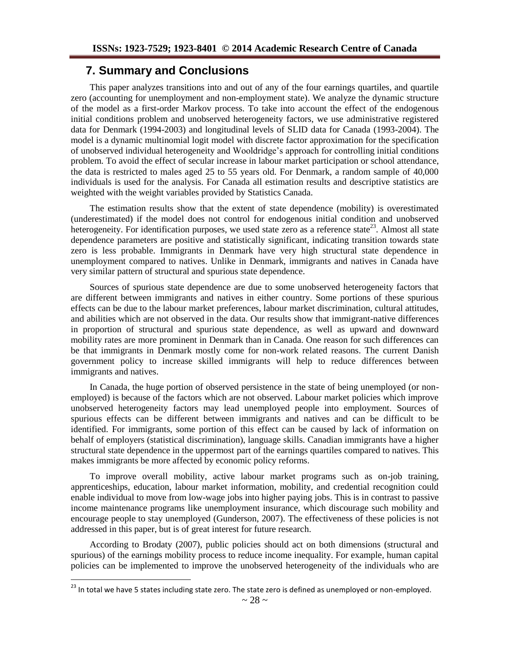## **7. Summary and Conclusions**

This paper analyzes transitions into and out of any of the four earnings quartiles, and quartile zero (accounting for unemployment and non-employment state). We analyze the dynamic structure of the model as a first-order Markov process. To take into account the effect of the endogenous initial conditions problem and unobserved heterogeneity factors, we use administrative registered data for Denmark (1994-2003) and longitudinal levels of SLID data for Canada (1993-2004). The model is a dynamic multinomial logit model with discrete factor approximation for the specification of unobserved individual heterogeneity and Wooldridge's approach for controlling initial conditions problem. To avoid the effect of secular increase in labour market participation or school attendance, the data is restricted to males aged 25 to 55 years old. For Denmark, a random sample of 40,000 individuals is used for the analysis. For Canada all estimation results and descriptive statistics are weighted with the weight variables provided by Statistics Canada.

The estimation results show that the extent of state dependence (mobility) is overestimated (underestimated) if the model does not control for endogenous initial condition and unobserved heterogeneity. For identification purposes, we used state zero as a reference state<sup>23</sup>. Almost all state dependence parameters are positive and statistically significant, indicating transition towards state zero is less probable. Immigrants in Denmark have very high structural state dependence in unemployment compared to natives. Unlike in Denmark, immigrants and natives in Canada have very similar pattern of structural and spurious state dependence.

Sources of spurious state dependence are due to some unobserved heterogeneity factors that are different between immigrants and natives in either country. Some portions of these spurious effects can be due to the labour market preferences, labour market discrimination, cultural attitudes, and abilities which are not observed in the data. Our results show that immigrant-native differences in proportion of structural and spurious state dependence, as well as upward and downward mobility rates are more prominent in Denmark than in Canada. One reason for such differences can be that immigrants in Denmark mostly come for non-work related reasons. The current Danish government policy to increase skilled immigrants will help to reduce differences between immigrants and natives.

In Canada, the huge portion of observed persistence in the state of being unemployed (or nonemployed) is because of the factors which are not observed. Labour market policies which improve unobserved heterogeneity factors may lead unemployed people into employment. Sources of spurious effects can be different between immigrants and natives and can be difficult to be identified. For immigrants, some portion of this effect can be caused by lack of information on behalf of employers (statistical discrimination), language skills. Canadian immigrants have a higher structural state dependence in the uppermost part of the earnings quartiles compared to natives. This makes immigrants be more affected by economic policy reforms.

To improve overall mobility, active labour market programs such as on-job training, apprenticeships, education, labour market information, mobility, and credential recognition could enable individual to move from low-wage jobs into higher paying jobs. This is in contrast to passive income maintenance programs like unemployment insurance, which discourage such mobility and encourage people to stay unemployed (Gunderson, 2007). The effectiveness of these policies is not addressed in this paper, but is of great interest for future research.

According to Brodaty (2007), public policies should act on both dimensions (structural and spurious) of the earnings mobility process to reduce income inequality. For example, human capital policies can be implemented to improve the unobserved heterogeneity of the individuals who are

<sup>&</sup>lt;sup>23</sup> In total we have 5 states including state zero. The state zero is defined as unemployed or non-employed.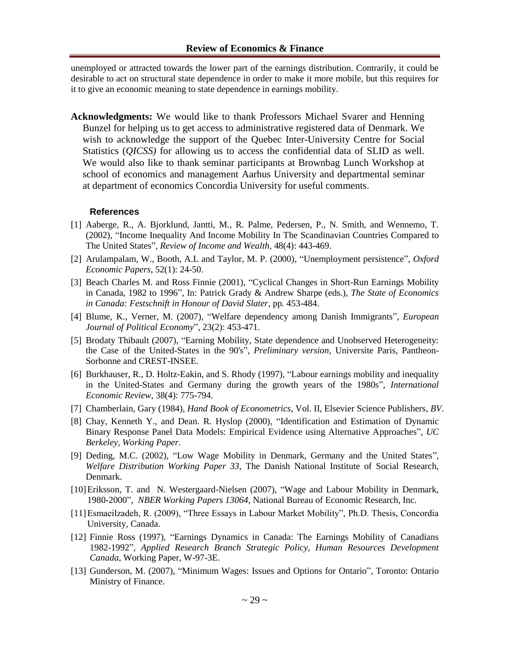unemployed or attracted towards the lower part of the earnings distribution. Contrarily, it could be desirable to act on structural state dependence in order to make it more mobile, but this requires for it to give an economic meaning to state dependence in earnings mobility.

**Acknowledgments:** We would like to thank Professors Michael Svarer and Henning Bunzel for helping us to get access to administrative registered data of Denmark. We wish to acknowledge the support of the Quebec Inter-University Centre for Social Statistics (*QICSS)* for allowing us to access the confidential data of SLID as well. We would also like to thank seminar participants at Brownbag Lunch Workshop at school of economics and management Aarhus University and departmental seminar at department of economics Concordia University for useful comments.

#### **References**

- [1] Aaberge, R., A. Bjorklund, Jantti, M., R. Palme, Pedersen, P., N. Smith, and Wennemo, T. (2002), "Income Inequality And Income Mobility In The Scandinavian Countries Compared to The United States", *Review of Income and Wealth*, 48(4): 443-469.
- [2] Arulampalam, W., Booth, A.L and Taylor, M. P. (2000), "Unemployment persistence", *Oxford Economic Papers*, 52(1): 24-50.
- [3] Beach Charles M. and Ross Finnie (2001), "Cyclical Changes in Short-Run Earnings Mobility in Canada, 1982 to 1996", In: Patrick Grady & Andrew Sharpe (eds.), *The State of Economics in Canada: Festschnift in Honour of David Slater*, pp. 453-484.
- [4] Blume, K., Verner, M. (2007), "Welfare dependency among Danish Immigrants", *European Journal of Political Economy*", 23(2): 453-471.
- [5] Brodaty Thibault (2007), "Earning Mobility, State dependence and Unobserved Heterogeneity: the Case of the United-States in the 90's", *Preliminary version*, Universite Paris, Pantheon-Sorbonne and CREST-INSEE.
- [6] Burkhauser, R., D. Holtz-Eakin, and S. Rhody (1997), "Labour earnings mobility and inequality in the United-States and Germany during the growth years of the 1980s", *International Economic Review*, 38(4): 775-794.
- [7] Chamberlain, Gary (1984), *Hand Book of Econometrics*, Vol. II, Elsevier Science Publishers, *BV*.
- [8] Chay, Kenneth Y., and Dean. R. Hyslop (2000), "Identification and Estimation of Dynamic Binary Response Panel Data Models: Empirical Evidence using Alternative Approaches", *UC Berkeley, Working Paper*.
- [9] Deding, M.C. (2002), "Low Wage Mobility in Denmark, Germany and the United States", *Welfare Distribution Working Paper 33*, The Danish National Institute of Social Research, Denmark.
- [10]Eriksson, T. and N. Westergaard-Nielsen (2007), "Wage and Labour Mobility in Denmark, 1980-2000", *NBER Working Papers 13064*, National Bureau of Economic Research, Inc.
- [11]Esmaeilzadeh, R. (2009), "Three Essays in Labour Market Mobility", Ph.D. Thesis, Concordia University, Canada.
- [12] Finnie Ross (1997), "Earnings Dynamics in Canada: The Earnings Mobility of Canadians 1982-1992", *Applied Research Branch Strategic Policy, Human Resources Development Canada*, Working Paper, W-97-3E.
- [13] Gunderson, M. (2007), "Minimum Wages: Issues and Options for Ontario", Toronto: Ontario Ministry of Finance.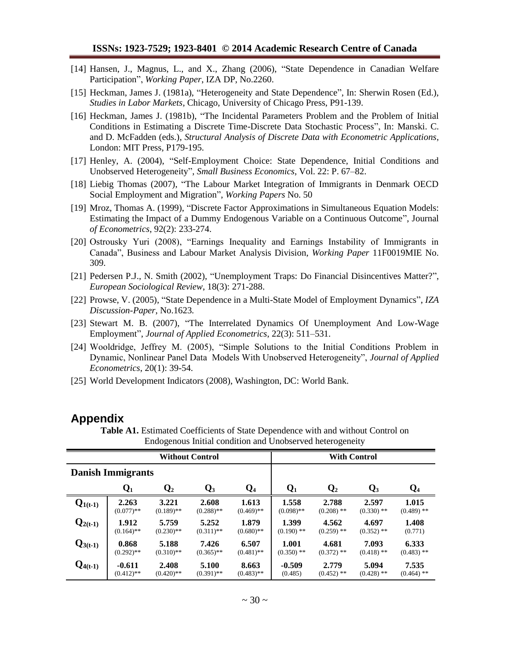- [14] Hansen, J., Magnus, L., and X., Zhang (2006), "State Dependence in Canadian Welfare Participation", *Working Paper*, IZA DP, No.2260.
- [15] Heckman, James J. (1981a), "Heterogeneity and State Dependence", In: Sherwin Rosen (Ed.), *Studies in Labor Markets*, Chicago, University of Chicago Press, P91-139.
- [16] Heckman, James J. (1981b), "The Incidental Parameters Problem and the Problem of Initial Conditions in Estimating a Discrete Time-Discrete Data Stochastic Process", In: Manski. C. and D. McFadden (eds.), *Structural Analysis of Discrete Data with Econometric Applications*, London: MIT Press, P179-195.
- [17] Henley, A. (2004), "Self-Employment Choice: State Dependence, Initial Conditions and Unobserved Heterogeneity", *Small Business Economics*, Vol. 22: P. 67–82.
- [18] Liebig Thomas (2007), "The Labour Market Integration of Immigrants in Denmark OECD Social Employment and Migration", *Working Papers* No. 50
- [19] Mroz, Thomas A. (1999), "Discrete Factor Approximations in Simultaneous Equation Models: Estimating the Impact of a Dummy Endogenous Variable on a Continuous Outcome", Journal *of Econometrics*, 92(2): 233-274.
- [20] Ostrousky Yuri (2008), "Earnings Inequality and Earnings Instability of Immigrants in Canada", Business and Labour Market Analysis Division, *Working Paper* 11F0019MIE No. 309.
- [21] Pedersen P.J., N. Smith (2002), "Unemployment Traps: Do Financial Disincentives Matter?", *European Sociological Review*, 18(3): 271-288.
- [22] Prowse, V. (2005), "State Dependence in a Multi-State Model of Employment Dynamics", *IZA Discussion-Paper*, No.1623.
- [23] Stewart M. B. (2007), "The Interrelated Dynamics Of Unemployment And Low-Wage Employment", *Journal of Applied Econometrics*, 22(3): 511–531.
- [24] Wooldridge, Jeffrey M. (2005), "Simple Solutions to the Initial Conditions Problem in Dynamic, Nonlinear Panel Data Models With Unobserved Heterogeneity", *Journal of Applied Econometrics*, 20(1): 39-54.
- [25] World Development Indicators (2008), Washington, DC: World Bank.

## **Appendix**

|              |                          |                | <b>Without Control</b> |              |                | <b>With Control</b> |                |              |
|--------------|--------------------------|----------------|------------------------|--------------|----------------|---------------------|----------------|--------------|
|              | <b>Danish Immigrants</b> |                |                        |              |                |                     |                |              |
|              | $\mathbf{Q}_1$           | $\mathbf{Q}_2$ | $\mathbf{Q}_3$         | Q4           | $\mathbf{Q}_1$ | $\mathbf{Q}_2$      | $\mathbf{Q}_3$ | $\bf{Q}_4$   |
| $Q_{1(t-1)}$ | 2.263                    | 3.221          | 2.608                  | 1.613        | 1.558          | 2.788               | 2.597          | 1.015        |
|              | $(0.077)$ **             | $(0.189)$ **   | $(0.288)$ **           | $(0.469)$ ** | $(0.098)$ **   | $(0.208)$ **        | $(0.330)$ **   | $(0.489)$ ** |
| $Q_{2(t-1)}$ | 1.912                    | 5.759          | 5.252                  | 1.879        | 1.399          | 4.562               | 4.697          | 1.408        |
|              | $(0.164)$ **             | $(0.230)$ **   | $(0.311)$ **           | $(0.680)$ ** | $(0.190)$ **   | $(0.259)$ **        | $(0.352)$ **   | (0.771)      |
| $Q_{3(t-1)}$ | 0.868                    | 5.188          | 7.426                  | 6.507        | 1.001          | 4.681               | 7.093          | 6.333        |
|              | $(0.292)$ **             | $(0.310)$ **   | $(0.365)$ **           | $(0.481)$ ** | $(0.350)$ **   | $(0.372)$ **        | $(0.418)$ **   | $(0.483)$ ** |
| $Q_{4(t-1)}$ | $-0.611$                 | 2.408          | 5.100                  | 8.663        | $-0.509$       | 2.779               | 5.094          | 7.535        |
|              | $(0.412)$ **             | $(0.420)$ **   | $(0.391)$ **           | $(0.483)$ ** | (0.485)        | $(0.452)$ **        | $(0.428)$ **   | $(0.464)$ ** |

**Table A1.** Estimated Coefficients of State Dependence with and without Control on Endogenous Initial condition and Unobserved heterogeneity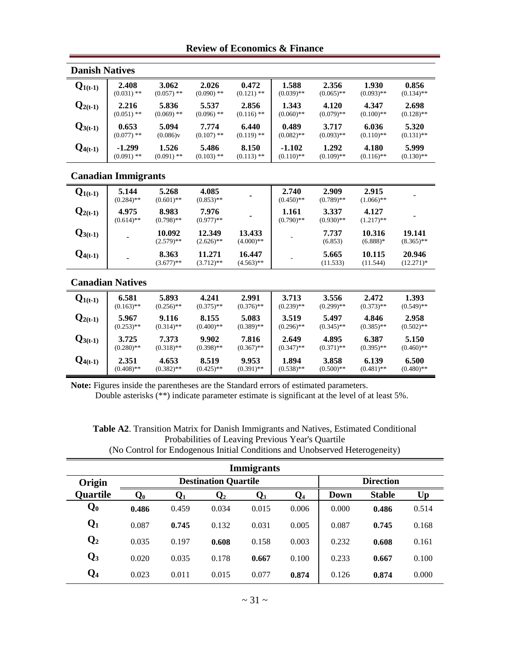### **Review of Economics & Finance**

| <b>Danish Natives</b> |                            |                       |                       |                       |                        |                       |                       |                       |
|-----------------------|----------------------------|-----------------------|-----------------------|-----------------------|------------------------|-----------------------|-----------------------|-----------------------|
| $Q_{1(t-1)}$          | 2.408<br>$(0.031)$ **      | 3.062<br>$(0.057)$ ** | 2.026<br>$(0.090)$ ** | 0.472<br>$(0.121)$ ** | 1.588<br>$(0.039)$ **  | 2.356<br>$(0.065)$ ** | 1.930<br>$(0.093)$ ** | 0.856<br>$(0.134)$ ** |
| $Q_{2(t-1)}$          | 2.216<br>$(0.051)$ **      | 5.836<br>$(0.069)$ ** | 5.537<br>$(0.096)$ ** | 2.856<br>$(0.116)$ ** | 1.343<br>$(0.060)$ **  | 4.120<br>$(0.079)$ ** | 4.347<br>$(0.100)$ ** | 2.698<br>$(0.128)$ ** |
| $Q_{3(t-1)}$          | 0.653<br>$(0.077)$ **      | 5.094<br>(0.086)v     | 7.774<br>$(0.107)$ ** | 6.440<br>$(0.119)$ ** | 0.489<br>$(0.082)$ **  | 3.717<br>$(0.093)$ ** | 6.036<br>$(0.110)$ ** | 5.320<br>$(0.131)$ ** |
| $Q_{4(t-1)}$          | $-1.299$<br>$(0.091)$ **   | 1.526<br>$(0.091)$ ** | 5.486<br>$(0.103)$ ** | 8.150<br>$(0.113)$ ** | -1.102<br>$(0.110)$ ** | 1.292<br>$(0.109)$ ** | 4.180<br>$(0.116)$ ** | 5.999<br>$(0.130)$ ** |
|                       | <b>Canadian Immigrants</b> |                       |                       |                       |                        |                       |                       |                       |
| $Q_{1(t-1)}$          | 5.144<br>$(0.284)$ **      | 5.268<br>$(0.601)$ ** | 4.085<br>$(0.853)$ ** |                       | 2.740<br>$(0.450)$ **  | 2.909<br>$(0.789)$ ** | 2.915<br>$(1.066)$ ** |                       |
| $Q_{2(t-1)}$          | 4.975<br>$(0.614)$ **      | 8.983<br>$(0.798)$ ** | 7.976<br>$(0.977)$ ** |                       | 1.161<br>$(0.790)$ **  | 3.337<br>$(0.930)$ ** | 4.127<br>$(1.217)$ ** |                       |
| ∩                     |                            | 10.000                | 12.340                | 12. 122               |                        | 2 232                 | 10.21C                | 1A 1 11               |

| $Q_{3(t-1)}$ |                         | 10.092<br>$(2.579)$ ** | 12.349<br>$(2.626)$ ** | 13.433<br>$(4.000)**$  |                       | 7.737<br>(6.853)      | 10.316<br>$(6.888)*$  | 19.141<br>$(8.365)$ ** |
|--------------|-------------------------|------------------------|------------------------|------------------------|-----------------------|-----------------------|-----------------------|------------------------|
| $Q_{4(t-1)}$ |                         | 8.363<br>$(3.677)$ **  | 11.271<br>$(3.712)$ ** | 16.447<br>$(4.563)$ ** |                       | 5.665<br>(11.533)     | 10.115<br>(11.544)    | 20.946<br>$(12.271)*$  |
|              | <b>Canadian Natives</b> |                        |                        |                        |                       |                       |                       |                        |
| $Q_{1(t-1)}$ | 6.581                   | 5.893                  | 4.241                  | 2.991                  | 3.713                 | 3.556                 | 2.472                 | 1.393                  |
|              | $(0.163)$ **            | $(0.256)$ **           | $(0.375)$ **           | $(0.376)$ **           | $(0.239)$ **          | $(0.299)$ **          | $(0.373)$ **          | $(0.549)$ **           |
| $Q_{2(t-1)}$ | 5.967<br>$(0.253)$ **   | 9.116<br>$(0.314)$ **  | 8.155<br>$(0.400)$ **  | 5.083<br>$(0.389)$ **  | 3.519<br>$(0.296)$ ** | 5.497<br>$(0.345)$ ** | 4.846<br>$(0.385)$ ** | 2.958<br>$(0.502)$ **  |

**6.500**  $(0.480)$ \*\*

**Note:** Figures inside the parentheses are the Standard errors of estimated parameters.

**8.519**  $(0.425)$ \*\*

**4.653**  $(0.382)$ \*\*

**Q4(t-1) 2.351**

 $(0.408)$ \*\*

Double asterisks (\*\*) indicate parameter estimate is significant at the level of at least 5%.

**9.953**  $(0.391)$ \*\*

**1.894**  $(0.538)$ \*\*

**3.858**  $(0.500)$ \*\*

**6.139**  $(0.481)$ \*\*

**Table A2**. Transition Matrix for Danish Immigrants and Natives, Estimated Conditional Probabilities of Leaving Previous Year's Quartile (No Control for Endogenous Initial Conditions and Unobserved Heterogeneity)

| <b>Immigrants</b> |                |                |                             |                  |       |       |               |       |  |  |
|-------------------|----------------|----------------|-----------------------------|------------------|-------|-------|---------------|-------|--|--|
| Origin            |                |                | <b>Destination Quartile</b> | <b>Direction</b> |       |       |               |       |  |  |
| <b>Quartile</b>   | $\mathbf{Q_0}$ | $\mathbf{Q}_1$ | $\mathbf{Q}_2$              | $\bf Q_3$        | $Q_4$ | Down  | <b>Stable</b> | Up    |  |  |
| $\mathbf{Q_0}$    | 0.486          | 0.459          | 0.034                       | 0.015            | 0.006 | 0.000 | 0.486         | 0.514 |  |  |
| $\mathbf{Q}_1$    | 0.087          | 0.745          | 0.132                       | 0.031            | 0.005 | 0.087 | 0.745         | 0.168 |  |  |
| $\mathbf{Q}_2$    | 0.035          | 0.197          | 0.608                       | 0.158            | 0.003 | 0.232 | 0.608         | 0.161 |  |  |
| $\mathbf{Q}_3$    | 0.020          | 0.035          | 0.178                       | 0.667            | 0.100 | 0.233 | 0.667         | 0.100 |  |  |
| $Q_4$             | 0.023          | 0.011          | 0.015                       | 0.077            | 0.874 | 0.126 | 0.874         | 0.000 |  |  |